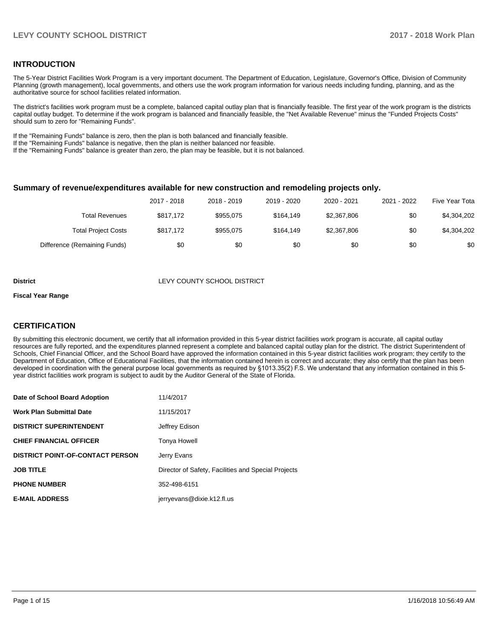### **INTRODUCTION**

The 5-Year District Facilities Work Program is a very important document. The Department of Education, Legislature, Governor's Office, Division of Community Planning (growth management), local governments, and others use the work program information for various needs including funding, planning, and as the authoritative source for school facilities related information.

The district's facilities work program must be a complete, balanced capital outlay plan that is financially feasible. The first year of the work program is the districts capital outlay budget. To determine if the work program is balanced and financially feasible, the "Net Available Revenue" minus the "Funded Projects Costs" should sum to zero for "Remaining Funds".

If the "Remaining Funds" balance is zero, then the plan is both balanced and financially feasible.

If the "Remaining Funds" balance is negative, then the plan is neither balanced nor feasible.

If the "Remaining Funds" balance is greater than zero, the plan may be feasible, but it is not balanced.

#### **Summary of revenue/expenditures available for new construction and remodeling projects only.**

| Five Year Tota | 2021 - 2022 | 2020 - 2021 | 2019 - 2020 | 2018 - 2019 | 2017 - 2018 |                              |
|----------------|-------------|-------------|-------------|-------------|-------------|------------------------------|
| \$4,304,202    | \$0         | \$2,367,806 | \$164.149   | \$955.075   | \$817.172   | <b>Total Revenues</b>        |
| \$4,304,202    | \$0         | \$2,367,806 | \$164.149   | \$955.075   | \$817.172   | <b>Total Project Costs</b>   |
| \$0            | \$0         | \$0         | \$0         | \$0         | \$0         | Difference (Remaining Funds) |

#### **District LEVY COUNTY SCHOOL DISTRICT**

#### **Fiscal Year Range**

### **CERTIFICATION**

By submitting this electronic document, we certify that all information provided in this 5-year district facilities work program is accurate, all capital outlay resources are fully reported, and the expenditures planned represent a complete and balanced capital outlay plan for the district. The district Superintendent of Schools, Chief Financial Officer, and the School Board have approved the information contained in this 5-year district facilities work program; they certify to the Department of Education, Office of Educational Facilities, that the information contained herein is correct and accurate; they also certify that the plan has been developed in coordination with the general purpose local governments as required by §1013.35(2) F.S. We understand that any information contained in this 5year district facilities work program is subject to audit by the Auditor General of the State of Florida.

| Date of School Board Adoption    | 11/4/2017                                           |
|----------------------------------|-----------------------------------------------------|
| Work Plan Submittal Date         | 11/15/2017                                          |
| <b>DISTRICT SUPERINTENDENT</b>   | Jeffrey Edison                                      |
| <b>CHIEF FINANCIAL OFFICER</b>   | Tonya Howell                                        |
| DISTRICT POINT-OF-CONTACT PERSON | Jerry Evans                                         |
| JOB TITLE                        | Director of Safety, Facilities and Special Projects |
| <b>PHONE NUMBER</b>              | 352-498-6151                                        |
| <b>E-MAIL ADDRESS</b>            | jerryevans@dixie.k12.fl.us                          |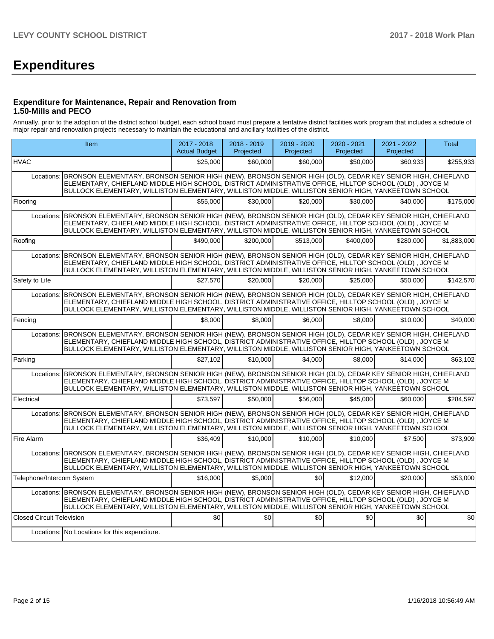# **Expenditures**

#### **Expenditure for Maintenance, Repair and Renovation from 1.50-Mills and PECO**

Annually, prior to the adoption of the district school budget, each school board must prepare a tentative district facilities work program that includes a schedule of major repair and renovation projects necessary to maintain the educational and ancillary facilities of the district.

|                                  | Item                                                                                                                                                                                                                                                                                                                                     | 2017 - 2018<br><b>Actual Budget</b> | 2018 - 2019<br>Projected | $2019 - 2020$<br>Projected | 2020 - 2021<br>Projected | 2021 - 2022<br>Projected | <b>Total</b> |
|----------------------------------|------------------------------------------------------------------------------------------------------------------------------------------------------------------------------------------------------------------------------------------------------------------------------------------------------------------------------------------|-------------------------------------|--------------------------|----------------------------|--------------------------|--------------------------|--------------|
| <b>HVAC</b>                      |                                                                                                                                                                                                                                                                                                                                          | \$25,000                            | \$60,000                 | \$60,000                   | \$50,000                 | \$60,933                 | \$255,933    |
| Locations:                       | BRONSON ELEMENTARY, BRONSON SENIOR HIGH (NEW), BRONSON SENIOR HIGH (OLD), CEDAR KEY SENIOR HIGH, CHIEFLAND<br>ELEMENTARY, CHIEFLAND MIDDLE HIGH SCHOOL, DISTRICT ADMINISTRATIVE OFFICE, HILLTOP SCHOOL (OLD), JOYCE M<br>BULLOCK ELEMENTARY, WILLISTON ELEMENTARY, WILLISTON MIDDLE, WILLISTON SENIOR HIGH, YANKEETOWN SCHOOL            |                                     |                          |                            |                          |                          |              |
| Flooring                         |                                                                                                                                                                                                                                                                                                                                          | \$55,000                            | \$30,000                 | \$20,000                   | \$30,000                 | \$40,000                 | \$175,000    |
|                                  | Locations: BRONSON ELEMENTARY, BRONSON SENIOR HIGH (NEW), BRONSON SENIOR HIGH (OLD), CEDAR KEY SENIOR HIGH, CHIEFLAND<br>ELEMENTARY, CHIEFLAND MIDDLE HIGH SCHOOL, DISTRICT ADMINISTRATIVE OFFICE, HILLTOP SCHOOL (OLD), JOYCE M<br>BULLOCK ELEMENTARY, WILLISTON ELEMENTARY, WILLISTON MIDDLE, WILLISTON SENIOR HIGH, YANKEETOWN SCHOOL |                                     |                          |                            |                          |                          |              |
| Roofing                          |                                                                                                                                                                                                                                                                                                                                          | \$490,000                           | \$200.000                | \$513,000                  | \$400.000                | \$280.000                | \$1,883,000  |
| Locations:                       | BRONSON ELEMENTARY, BRONSON SENIOR HIGH (NEW), BRONSON SENIOR HIGH (OLD), CEDAR KEY SENIOR HIGH, CHIEFLAND<br>ELEMENTARY, CHIEFLAND MIDDLE HIGH SCHOOL, DISTRICT ADMINISTRATIVE OFFICE, HILLTOP SCHOOL (OLD), JOYCE M<br>BULLOCK ELEMENTARY, WILLISTON ELEMENTARY, WILLISTON MIDDLE, WILLISTON SENIOR HIGH, YANKEETOWN SCHOOL            |                                     |                          |                            |                          |                          |              |
| Safety to Life                   |                                                                                                                                                                                                                                                                                                                                          | \$27,570                            | \$20,000                 | \$20,000                   | \$25,000                 | \$50,000                 | \$142,570    |
|                                  | Locations: BRONSON ELEMENTARY, BRONSON SENIOR HIGH (NEW), BRONSON SENIOR HIGH (OLD), CEDAR KEY SENIOR HIGH, CHIEFLAND<br>ELEMENTARY, CHIEFLAND MIDDLE HIGH SCHOOL, DISTRICT ADMINISTRATIVE OFFICE, HILLTOP SCHOOL (OLD), JOYCE M<br>BULLOCK ELEMENTARY, WILLISTON ELEMENTARY, WILLISTON MIDDLE, WILLISTON SENIOR HIGH, YANKEETOWN SCHOOL |                                     |                          |                            |                          |                          |              |
| Fencing                          |                                                                                                                                                                                                                                                                                                                                          | \$8,000                             | \$8,000                  | \$6,000                    | \$8,000                  | \$10,000                 | \$40,000     |
| Locations:                       | BRONSON ELEMENTARY, BRONSON SENIOR HIGH (NEW), BRONSON SENIOR HIGH (OLD), CEDAR KEY SENIOR HIGH, CHIEFLAND<br>ELEMENTARY, CHIEFLAND MIDDLE HIGH SCHOOL, DISTRICT ADMINISTRATIVE OFFICE, HILLTOP SCHOOL (OLD), JOYCE M<br>BULLOCK ELEMENTARY, WILLISTON ELEMENTARY, WILLISTON MIDDLE, WILLISTON SENIOR HIGH, YANKEETOWN SCHOOL            |                                     |                          |                            |                          |                          |              |
| Parking                          |                                                                                                                                                                                                                                                                                                                                          | \$27.102                            | \$10,000                 | \$4.000                    | \$8,000                  | \$14,000                 | \$63,102     |
| Locations:                       | BRONSON ELEMENTARY, BRONSON SENIOR HIGH (NEW), BRONSON SENIOR HIGH (OLD), CEDAR KEY SENIOR HIGH, CHIEFLAND<br>ELEMENTARY, CHIEFLAND MIDDLE HIGH SCHOOL, DISTRICT ADMINISTRATIVE OFFICE, HILLTOP SCHOOL (OLD), JOYCE M<br>BULLOCK ELEMENTARY, WILLISTON ELEMENTARY, WILLISTON MIDDLE, WILLISTON SENIOR HIGH, YANKEETOWN SCHOOL            |                                     |                          |                            |                          |                          |              |
| Electrical                       |                                                                                                                                                                                                                                                                                                                                          | \$73.597                            | \$50,000                 | \$56.000                   | \$45,000                 | \$60,000                 | \$284,597    |
|                                  | Locations: BRONSON ELEMENTARY, BRONSON SENIOR HIGH (NEW), BRONSON SENIOR HIGH (OLD), CEDAR KEY SENIOR HIGH, CHIEFLAND<br>ELEMENTARY, CHIEFLAND MIDDLE HIGH SCHOOL, DISTRICT ADMINISTRATIVE OFFICE, HILLTOP SCHOOL (OLD), JOYCE M<br>BULLOCK ELEMENTARY, WILLISTON ELEMENTARY, WILLISTON MIDDLE, WILLISTON SENIOR HIGH, YANKEETOWN SCHOOL |                                     |                          |                            |                          |                          |              |
| Fire Alarm                       |                                                                                                                                                                                                                                                                                                                                          | \$36.409                            | \$10,000                 | \$10,000                   | \$10,000                 | \$7,500                  | \$73,909     |
| Locations:                       | BRONSON ELEMENTARY, BRONSON SENIOR HIGH (NEW), BRONSON SENIOR HIGH (OLD), CEDAR KEY SENIOR HIGH, CHIEFLAND<br>ELEMENTARY, CHIEFLAND MIDDLE HIGH SCHOOL, DISTRICT ADMINISTRATIVE OFFICE, HILLTOP SCHOOL (OLD), JOYCE M<br>BULLOCK ELEMENTARY, WILLISTON ELEMENTARY, WILLISTON MIDDLE, WILLISTON SENIOR HIGH, YANKEETOWN SCHOOL            |                                     |                          |                            |                          |                          |              |
| Telephone/Intercom System        |                                                                                                                                                                                                                                                                                                                                          | \$16,000                            | \$5.000                  | \$0                        | \$12,000                 | \$20,000                 | \$53,000     |
|                                  | Locations: BRONSON ELEMENTARY, BRONSON SENIOR HIGH (NEW), BRONSON SENIOR HIGH (OLD), CEDAR KEY SENIOR HIGH, CHIEFLAND<br>ELEMENTARY, CHIEFLAND MIDDLE HIGH SCHOOL, DISTRICT ADMINISTRATIVE OFFICE, HILLTOP SCHOOL (OLD), JOYCE M<br>BULLOCK ELEMENTARY, WILLISTON ELEMENTARY, WILLISTON MIDDLE, WILLISTON SENIOR HIGH, YANKEETOWN SCHOOL |                                     |                          |                            |                          |                          |              |
| <b>Closed Circuit Television</b> |                                                                                                                                                                                                                                                                                                                                          | \$0                                 | \$0                      | \$0                        | \$0                      | \$0                      | \$0          |
|                                  | Locations: No Locations for this expenditure.                                                                                                                                                                                                                                                                                            |                                     |                          |                            |                          |                          |              |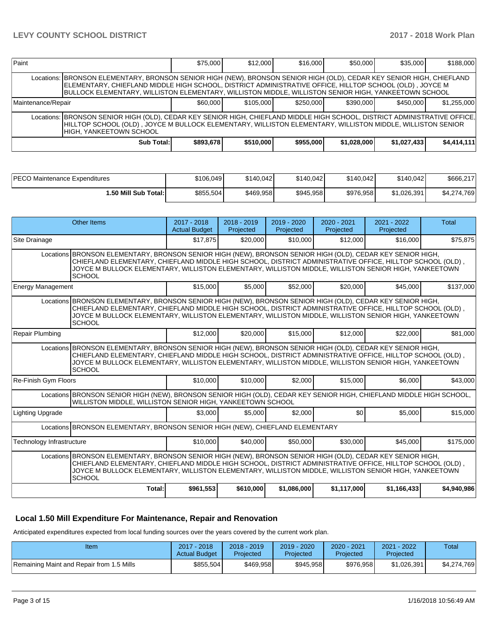| Paint                                                                                                                                                                                                                                                                  |                                                                                                                                                                                                                                                                                                                                           | \$75,000  | \$12,000  | \$16,000  | \$50,000    | \$35,000    | \$188,000   |  |  |  |
|------------------------------------------------------------------------------------------------------------------------------------------------------------------------------------------------------------------------------------------------------------------------|-------------------------------------------------------------------------------------------------------------------------------------------------------------------------------------------------------------------------------------------------------------------------------------------------------------------------------------------|-----------|-----------|-----------|-------------|-------------|-------------|--|--|--|
|                                                                                                                                                                                                                                                                        | Locations:  BRONSON ELEMENTARY, BRONSON SENIOR HIGH (NEW), BRONSON SENIOR HIGH (OLD), CEDAR KEY SENIOR HIGH, CHIEFLAND<br>ELEMENTARY, CHIEFLAND MIDDLE HIGH SCHOOL, DISTRICT ADMINISTRATIVE OFFICE, HILLTOP SCHOOL (OLD), JOYCE M<br>BULLOCK ELEMENTARY, WILLISTON ELEMENTARY, WILLISTON MIDDLE, WILLISTON SENIOR HIGH, YANKEETOWN SCHOOL |           |           |           |             |             |             |  |  |  |
| Maintenance/Repair                                                                                                                                                                                                                                                     |                                                                                                                                                                                                                                                                                                                                           | \$60,000  | \$105,000 | \$250,000 | \$390,000   | \$450,000   | \$1,255,000 |  |  |  |
| Locations:  BRONSON SENIOR HIGH (OLD), CEDAR KEY SENIOR HIGH, CHIEFLAND MIDDLE HIGH SCHOOL, DISTRICT ADMINISTRATIVE OFFICE. <br>HILLTOP SCHOOL (OLD) , JOYCE M BULLOCK ELEMENTARY, WILLISTON ELEMENTARY, WILLISTON MIDDLE, WILLISTON SENIOR<br>HIGH. YANKEETOWN SCHOOL |                                                                                                                                                                                                                                                                                                                                           |           |           |           |             |             |             |  |  |  |
|                                                                                                                                                                                                                                                                        | Sub Total:                                                                                                                                                                                                                                                                                                                                | \$893,678 | \$510,000 | \$955,000 | \$1,028,000 | \$1,027,433 | \$4,414,111 |  |  |  |

| PECO Maintenance Expenditures | \$106,049 | \$140,042 | \$140,042 | \$140,042 | \$140,042   | \$666,217        |
|-------------------------------|-----------|-----------|-----------|-----------|-------------|------------------|
| 1.50 Mill Sub Total:İ         | \$855,504 | \$469,958 | \$945.958 | \$976.958 | \$1,026,391 | 4.769<br>\$4.274 |

|                           | <b>Other Items</b>                                                                                                                                                                                                                                                                                                                                | $2017 - 2018$<br><b>Actual Budget</b> | $2018 - 2019$<br>Projected | $2019 - 2020$<br>Projected | $2020 - 2021$<br>Projected | 2021 - 2022<br>Projected | Total       |  |  |  |
|---------------------------|---------------------------------------------------------------------------------------------------------------------------------------------------------------------------------------------------------------------------------------------------------------------------------------------------------------------------------------------------|---------------------------------------|----------------------------|----------------------------|----------------------------|--------------------------|-------------|--|--|--|
| Site Drainage             |                                                                                                                                                                                                                                                                                                                                                   | \$17,875                              | \$20,000                   | \$10,000                   | \$12,000                   | \$16,000                 | \$75,875    |  |  |  |
|                           | Locations BRONSON ELEMENTARY, BRONSON SENIOR HIGH (NEW), BRONSON SENIOR HIGH (OLD), CEDAR KEY SENIOR HIGH,<br>CHIEFLAND ELEMENTARY, CHIEFLAND MIDDLE HIGH SCHOOL, DISTRICT ADMINISTRATIVE OFFICE, HILLTOP SCHOOL (OLD),<br>JOYCE M BULLOCK ELEMENTARY, WILLISTON ELEMENTARY, WILLISTON MIDDLE, WILLISTON SENIOR HIGH, YANKEETOWN<br><b>SCHOOL</b> |                                       |                            |                            |                            |                          |             |  |  |  |
| <b>Energy Management</b>  |                                                                                                                                                                                                                                                                                                                                                   | \$15,000                              | \$5,000                    | \$52,000                   | \$20,000                   | \$45,000                 | \$137,000   |  |  |  |
|                           | Locations BRONSON ELEMENTARY, BRONSON SENIOR HIGH (NEW), BRONSON SENIOR HIGH (OLD), CEDAR KEY SENIOR HIGH,<br>CHIEFLAND ELEMENTARY, CHIEFLAND MIDDLE HIGH SCHOOL, DISTRICT ADMINISTRATIVE OFFICE, HILLTOP SCHOOL (OLD),<br>JOYCE M BULLOCK ELEMENTARY, WILLISTON ELEMENTARY, WILLISTON MIDDLE, WILLISTON SENIOR HIGH, YANKEETOWN<br><b>SCHOOL</b> |                                       |                            |                            |                            |                          |             |  |  |  |
| <b>Repair Plumbing</b>    |                                                                                                                                                                                                                                                                                                                                                   | \$12,000                              | \$20,000                   | \$15,000                   | \$12,000                   | \$22,000                 | \$81,000    |  |  |  |
|                           | Locations BRONSON ELEMENTARY, BRONSON SENIOR HIGH (NEW), BRONSON SENIOR HIGH (OLD), CEDAR KEY SENIOR HIGH,<br>CHIEFLAND ELEMENTARY, CHIEFLAND MIDDLE HIGH SCHOOL, DISTRICT ADMINISTRATIVE OFFICE, HILLTOP SCHOOL (OLD),<br>JOYCE M BULLOCK ELEMENTARY, WILLISTON ELEMENTARY, WILLISTON MIDDLE, WILLISTON SENIOR HIGH, YANKEETOWN<br><b>SCHOOL</b> |                                       |                            |                            |                            |                          |             |  |  |  |
| Re-Finish Gym Floors      |                                                                                                                                                                                                                                                                                                                                                   | \$10,000                              | \$10,000                   | \$2,000                    | \$15,000                   | \$6,000                  | \$43,000    |  |  |  |
|                           | Locations BRONSON SENIOR HIGH (NEW), BRONSON SENIOR HIGH (OLD), CEDAR KEY SENIOR HIGH, CHIEFLAND MIDDLE HIGH SCHOOL,<br>WILLISTON MIDDLE, WILLISTON SENIOR HIGH, YANKEETOWN SCHOOL                                                                                                                                                                |                                       |                            |                            |                            |                          |             |  |  |  |
| <b>Lighting Upgrade</b>   |                                                                                                                                                                                                                                                                                                                                                   | \$3.000                               | \$5,000                    | \$2,000                    | \$0                        | \$5,000                  | \$15,000    |  |  |  |
|                           | Locations BRONSON ELEMENTARY, BRONSON SENIOR HIGH (NEW), CHIEFLAND ELEMENTARY                                                                                                                                                                                                                                                                     |                                       |                            |                            |                            |                          |             |  |  |  |
| Technology Infrastructure |                                                                                                                                                                                                                                                                                                                                                   | \$10,000                              | \$40,000                   | \$50,000                   | \$30,000                   | \$45,000                 | \$175,000   |  |  |  |
|                           | Locations BRONSON ELEMENTARY, BRONSON SENIOR HIGH (NEW), BRONSON SENIOR HIGH (OLD), CEDAR KEY SENIOR HIGH,<br>CHIEFLAND ELEMENTARY, CHIEFLAND MIDDLE HIGH SCHOOL, DISTRICT ADMINISTRATIVE OFFICE, HILLTOP SCHOOL (OLD),<br>JOYCE M BULLOCK ELEMENTARY, WILLISTON ELEMENTARY, WILLISTON MIDDLE, WILLISTON SENIOR HIGH, YANKEETOWN<br><b>SCHOOL</b> |                                       |                            |                            |                            |                          |             |  |  |  |
|                           | Total:                                                                                                                                                                                                                                                                                                                                            | \$961,553                             | \$610,000                  | \$1,086,000                | \$1,117,000                | \$1,166,433              | \$4,940,986 |  |  |  |

### **Local 1.50 Mill Expenditure For Maintenance, Repair and Renovation**

Anticipated expenditures expected from local funding sources over the years covered by the current work plan.

| Item                                      | 2017 - 2018<br><b>Actual Budget</b> | $2018 - 2019$<br>Projected | $2019 - 2020$<br>Projected | $2020 - 2021$<br>Projected | 2021 - 2022<br>Projected | Total       |
|-------------------------------------------|-------------------------------------|----------------------------|----------------------------|----------------------------|--------------------------|-------------|
| Remaining Maint and Repair from 1.5 Mills | \$855.504                           | \$469.958                  | \$945.958                  | \$976,958                  | \$1.026.391              | \$4,274,769 |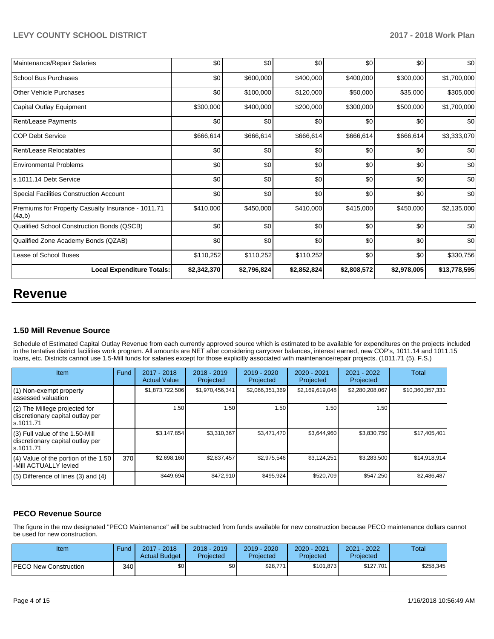| <b>Local Expenditure Totals:</b>                             | \$2,342,370 | \$2,796,824 | \$2,852,824 | \$2,808,572 | \$2,978,005 | \$13,778,595 |
|--------------------------------------------------------------|-------------|-------------|-------------|-------------|-------------|--------------|
| Lease of School Buses                                        | \$110,252   | \$110,252   | \$110,252   | \$0         | \$0         | \$330,756    |
| Qualified Zone Academy Bonds (QZAB)                          | \$0         | \$0         | \$0         | \$0         | \$0         | \$0          |
| Qualified School Construction Bonds (QSCB)                   | \$0         | \$0         | \$0         | \$0         | \$0         | \$0          |
| Premiums for Property Casualty Insurance - 1011.71<br>(4a,b) | \$410,000   | \$450,000   | \$410,000   | \$415,000   | \$450,000   | \$2,135,000  |
| <b>Special Facilities Construction Account</b>               | \$0         | \$0         | \$0         | \$0         | \$0         | \$0          |
| s.1011.14 Debt Service                                       | \$0         | \$0         | \$0         | \$0         | \$0         | \$0          |
| <b>Environmental Problems</b>                                | \$0         | \$0         | \$0         | \$0         | \$0         | \$0          |
| Rent/Lease Relocatables                                      | \$0         | \$0         | \$0         | \$0         | \$0         | \$0          |
| <b>COP Debt Service</b>                                      | \$666,614   | \$666,614   | \$666,614   | \$666,614   | \$666,614   | \$3,333,070  |
| Rent/Lease Payments                                          | \$0         | \$0         | \$0         | \$0         | \$0         | \$0          |
| Capital Outlay Equipment                                     | \$300,000   | \$400,000   | \$200,000   | \$300,000   | \$500,000   | \$1,700,000  |
| <b>Other Vehicle Purchases</b>                               | \$0         | \$100,000   | \$120,000   | \$50,000    | \$35,000    | \$305,000    |
| <b>School Bus Purchases</b>                                  | \$0         | \$600,000   | \$400,000   | \$400,000   | \$300,000   | \$1,700,000  |
| Maintenance/Repair Salaries                                  | \$0         | \$0         | \$0         | \$0         | \$0         | \$0          |

# **Revenue**

### **1.50 Mill Revenue Source**

Schedule of Estimated Capital Outlay Revenue from each currently approved source which is estimated to be available for expenditures on the projects included in the tentative district facilities work program. All amounts are NET after considering carryover balances, interest earned, new COP's, 1011.14 and 1011.15 loans, etc. Districts cannot use 1.5-Mill funds for salaries except for those explicitly associated with maintenance/repair projects. (1011.71 (5), F.S.)

| Item                                                                                | Fund | $2017 - 2018$<br><b>Actual Value</b> | $2018 - 2019$<br>Projected | 2019 - 2020<br>Projected | $2020 - 2021$<br>Projected | 2021 - 2022<br>Projected | <b>Total</b>     |
|-------------------------------------------------------------------------------------|------|--------------------------------------|----------------------------|--------------------------|----------------------------|--------------------------|------------------|
| (1) Non-exempt property<br>lassessed valuation                                      |      | \$1,873,722,506                      | \$1,970,456,341            | \$2,066,351,369          | \$2,169,619,048            | \$2,280,208,067          | \$10,360,357,331 |
| (2) The Millege projected for<br>discretionary capital outlay per<br>ls.1011.71     |      | 1.50                                 | 1.50                       | 1.50                     | 1.50                       | 1.50                     |                  |
| $(3)$ Full value of the 1.50-Mill<br>discretionary capital outlay per<br>ls.1011.71 |      | \$3,147,854                          | \$3,310,367                | \$3,471,470              | \$3,644,960                | \$3,830,750              | \$17,405,401     |
| $(4)$ Value of the portion of the 1.50<br>-Mill ACTUALLY levied                     | 370  | \$2,698,160                          | \$2,837,457                | \$2,975,546              | \$3,124,251                | \$3,283,500              | \$14,918,914     |
| $(5)$ Difference of lines $(3)$ and $(4)$                                           |      | \$449,694                            | \$472,910                  | \$495.924                | \$520,709                  | \$547,250                | \$2,486,487      |

## **PECO Revenue Source**

The figure in the row designated "PECO Maintenance" will be subtracted from funds available for new construction because PECO maintenance dollars cannot be used for new construction.

| Item                         | Fund | 2017 - 2018<br><b>Actual Budget</b> | $2018 - 2019$<br>Projected | 2019 - 2020<br>Projected | $2020 - 2021$<br>Projected | $-2022$<br>2021<br>Projected | Total     |
|------------------------------|------|-------------------------------------|----------------------------|--------------------------|----------------------------|------------------------------|-----------|
| <b>PECO New Construction</b> | 340  | \$0                                 | \$0                        | \$28,771                 | \$101,873                  | \$127,701                    | \$258,345 |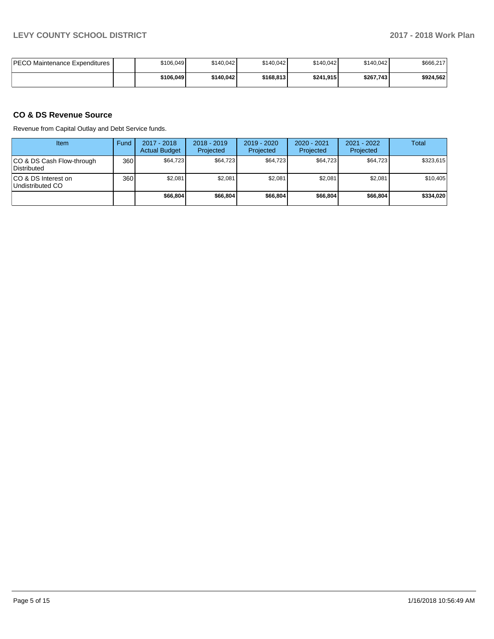| <b>PECO Maintenance Expenditures</b> | \$106,049 | \$140,042 | \$140.042 | \$140.042 | \$140.042 | \$666,217 |
|--------------------------------------|-----------|-----------|-----------|-----------|-----------|-----------|
|                                      | \$106.049 | \$140.042 | \$168,813 | \$241.915 | \$267,743 | \$924.562 |

## **CO & DS Revenue Source**

Revenue from Capital Outlay and Debt Service funds.

| Item                                      | Fund | 2017 - 2018<br><b>Actual Budget</b> | $2018 - 2019$<br>Projected | $2019 - 2020$<br>Projected | $2020 - 2021$<br>Projected | 2021 - 2022<br>Projected | <b>Total</b> |
|-------------------------------------------|------|-------------------------------------|----------------------------|----------------------------|----------------------------|--------------------------|--------------|
| ICO & DS Cash Flow-through<br>Distributed | 360  | \$64,723                            | \$64.723                   | \$64,723                   | \$64,723                   | \$64.723                 | \$323.615    |
| ICO & DS Interest on<br>Undistributed CO  | 360  | \$2,081                             | \$2,081                    | \$2.081                    | \$2,081                    | \$2,081                  | \$10,405     |
|                                           |      | \$66,804                            | \$66,804                   | \$66,804                   | \$66,804                   | \$66,804                 | \$334,020    |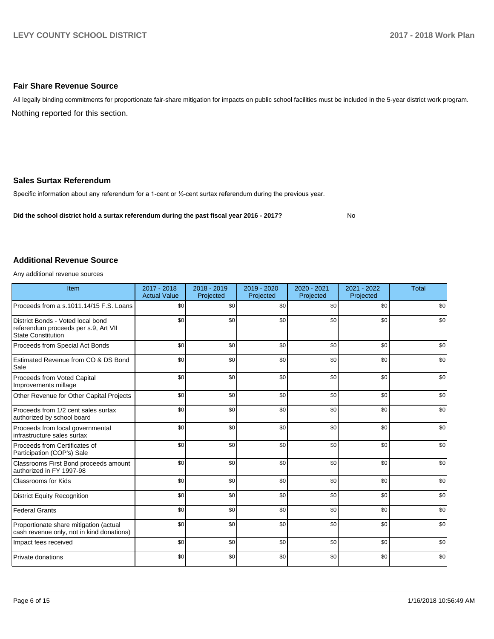#### **Fair Share Revenue Source**

Nothing reported for this section. All legally binding commitments for proportionate fair-share mitigation for impacts on public school facilities must be included in the 5-year district work program.

#### **Sales Surtax Referendum**

Specific information about any referendum for a 1-cent or 1/2-cent surtax referendum during the previous year.

**Did the school district hold a surtax referendum during the past fiscal year 2016 - 2017?**

No

#### **Additional Revenue Source**

Any additional revenue sources

| Item                                                                                                   | $2017 - 2018$<br><b>Actual Value</b> | $2018 - 2019$<br>Projected | 2019 - 2020<br>Projected | 2020 - 2021<br>Projected | 2021 - 2022<br>Projected | <b>Total</b> |
|--------------------------------------------------------------------------------------------------------|--------------------------------------|----------------------------|--------------------------|--------------------------|--------------------------|--------------|
| Proceeds from a s.1011.14/15 F.S. Loans                                                                | \$0                                  | \$0                        | \$0                      | \$0                      | \$0                      | \$0          |
| District Bonds - Voted local bond<br>referendum proceeds per s.9, Art VII<br><b>State Constitution</b> | \$0                                  | \$0                        | \$0                      | \$0                      | \$0                      | \$0          |
| Proceeds from Special Act Bonds                                                                        | \$0                                  | \$0                        | \$0                      | \$0                      | \$0                      | \$0          |
| Estimated Revenue from CO & DS Bond<br>Sale                                                            | \$0                                  | \$0                        | \$0                      | \$0                      | \$0                      | \$0          |
| Proceeds from Voted Capital<br>Improvements millage                                                    | \$0                                  | \$0                        | \$0                      | \$0                      | \$0                      | \$0          |
| Other Revenue for Other Capital Projects                                                               | \$0                                  | \$0                        | \$0                      | \$0                      | \$0                      | \$0          |
| Proceeds from 1/2 cent sales surtax<br>authorized by school board                                      | \$0                                  | \$0                        | \$0                      | \$0                      | \$0                      | \$0          |
| Proceeds from local governmental<br>infrastructure sales surtax                                        | \$0                                  | \$0                        | \$0                      | \$0                      | \$0                      | \$0          |
| Proceeds from Certificates of<br>Participation (COP's) Sale                                            | \$0                                  | \$0                        | \$0                      | \$0                      | \$0                      | \$0          |
| Classrooms First Bond proceeds amount<br>authorized in FY 1997-98                                      | \$0                                  | \$0                        | \$0                      | \$0                      | \$0                      | \$0          |
| <b>Classrooms for Kids</b>                                                                             | \$0                                  | \$0                        | \$0                      | \$0                      | \$0                      | \$0          |
| <b>District Equity Recognition</b>                                                                     | \$0                                  | \$0                        | \$0                      | \$0                      | \$0                      | \$0          |
| <b>Federal Grants</b>                                                                                  | \$0                                  | \$0                        | \$0                      | \$0                      | \$0                      | \$0          |
| Proportionate share mitigation (actual<br>cash revenue only, not in kind donations)                    | \$0                                  | \$0                        | \$0                      | \$0                      | \$0                      | \$0          |
| Impact fees received                                                                                   | \$0                                  | \$0                        | \$0                      | \$0                      | \$0                      | \$0          |
| Private donations                                                                                      | \$0                                  | \$0                        | \$0                      | \$0                      | \$0                      | \$0          |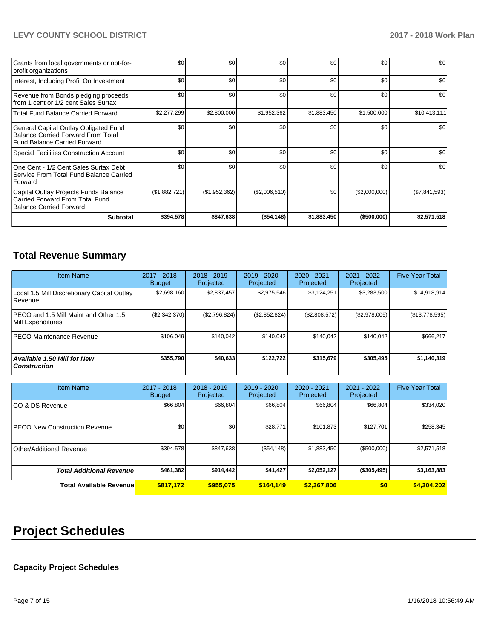## **LEVY COUNTY SCHOOL DISTRICT 2017 - 2018 Work Plan**

| Grants from local governments or not-for-<br>profit organizations                                                         | \$0           | \$0              | \$0           | \$0         | \$0           | \$0           |
|---------------------------------------------------------------------------------------------------------------------------|---------------|------------------|---------------|-------------|---------------|---------------|
| Interest, Including Profit On Investment                                                                                  | \$0           | \$0              | \$0           | \$0         | \$0           | \$0           |
| Revenue from Bonds pledging proceeds<br>from 1 cent or 1/2 cent Sales Surtax                                              | \$0           | \$0 <sub>1</sub> | \$0           | \$0         | \$0           | \$0           |
| <b>Total Fund Balance Carried Forward</b>                                                                                 | \$2,277,299   | \$2,800,000      | \$1,952,362   | \$1,883,450 | \$1,500,000   | \$10,413,111  |
| General Capital Outlay Obligated Fund<br><b>Balance Carried Forward From Total</b><br><b>Fund Balance Carried Forward</b> | \$0           | \$0 <sub>1</sub> | \$0           | \$0         | \$0           | \$0           |
| <b>Special Facilities Construction Account</b>                                                                            | \$0           | \$0 <sub>1</sub> | \$0           | \$0         | \$0           | \$0           |
| One Cent - 1/2 Cent Sales Surtax Debt<br>Service From Total Fund Balance Carried<br>Forward                               | \$0           | \$0 <sub>1</sub> | \$0           | \$0         | \$0           | \$0           |
| Capital Outlay Projects Funds Balance<br>Carried Forward From Total Fund<br><b>Balance Carried Forward</b>                | (\$1,882,721) | (\$1,952,362)    | (\$2,006,510) | \$0         | (\$2,000,000) | (\$7,841,593) |
| <b>Subtotal</b>                                                                                                           | \$394,578     | \$847,638        | (\$54,148)    | \$1,883,450 | ( \$500,000)  | \$2,571,518   |

# **Total Revenue Summary**

| <b>Item Name</b>                                           | $2017 - 2018$<br><b>Budget</b> | $2018 - 2019$<br>Projected | $2019 - 2020$<br>Projected | $2020 - 2021$<br>Projected | $2021 - 2022$<br>Projected | <b>Five Year Total</b> |
|------------------------------------------------------------|--------------------------------|----------------------------|----------------------------|----------------------------|----------------------------|------------------------|
| Local 1.5 Mill Discretionary Capital Outlay<br>Revenue     | \$2,698,160                    | \$2,837,457                | \$2,975,546                | \$3,124,251                | \$3,283,500                | \$14,918,914           |
| PECO and 1.5 Mill Maint and Other 1.5<br>Mill Expenditures | (\$2,342,370)                  | (\$2,796,824)              | (\$2,852,824)              | (\$2,808,572)              | (\$2,978,005)              | (\$13,778,595)         |
| <b>IPECO Maintenance Revenue</b>                           | \$106.049                      | \$140,042                  | \$140.042                  | \$140.042                  | \$140.042                  | \$666,217              |
| Available 1.50 Mill for New<br><b>Construction</b>         | \$355.790                      | \$40,633                   | \$122.722                  | \$315,679                  | \$305,495                  | \$1,140,319            |

| <b>Item Name</b>                     | 2017 - 2018<br><b>Budget</b> | $2018 - 2019$<br>Projected | 2019 - 2020<br>Projected | 2020 - 2021<br>Projected | 2021 - 2022<br>Projected | <b>Five Year Total</b> |
|--------------------------------------|------------------------------|----------------------------|--------------------------|--------------------------|--------------------------|------------------------|
| ICO & DS Revenue                     | \$66,804                     | \$66,804                   | \$66,804                 | \$66,804                 | \$66,804                 | \$334,020              |
| <b>PECO New Construction Revenue</b> | \$0                          | \$0                        | \$28,771                 | \$101,873                | \$127,701                | \$258,345              |
| Other/Additional Revenue             | \$394,578                    | \$847,638                  | (\$54,148)               | \$1,883,450              | (\$500,000)              | \$2,571,518            |
| <b>Total Additional Revenuel</b>     | \$461,382                    | \$914,442                  | \$41,427                 | \$2,052,127              | (\$305,495)              | \$3,163,883            |
| <b>Total Available Revenue</b>       | \$817,172                    | \$955.075                  | \$164,149                | \$2,367,806              | \$0                      | \$4,304,202            |

# **Project Schedules**

# **Capacity Project Schedules**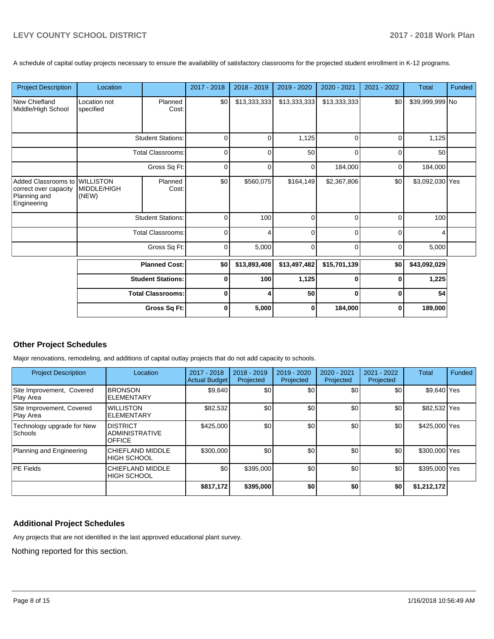A schedule of capital outlay projects necessary to ensure the availability of satisfactory classrooms for the projected student enrollment in K-12 programs.

| <b>Project Description</b>                                                  | Location                                             |                          | 2017 - 2018 | 2018 - 2019  | 2019 - 2020  | 2020 - 2021  | 2021 - 2022 | <b>Total</b>    | Funded |
|-----------------------------------------------------------------------------|------------------------------------------------------|--------------------------|-------------|--------------|--------------|--------------|-------------|-----------------|--------|
| New Chiefland<br>Middle/High School                                         | Location not<br>specified                            | Planned<br>Cost:         | \$0         | \$13,333,333 | \$13,333,333 | \$13,333,333 | \$0         | \$39,999,999 No |        |
|                                                                             |                                                      | <b>Student Stations:</b> | $\Omega$    | 0            | 1,125        | $\Omega$     | 0           | 1,125           |        |
|                                                                             |                                                      | <b>Total Classrooms:</b> | 0           | 0            | 50           | $\Omega$     | $\Omega$    | 50              |        |
|                                                                             |                                                      | Gross Sq Ft:             | 0           | 0            | 0            | 184,000      | 0           | 184,000         |        |
| Added Classrooms to<br>correct over capacity<br>Planning and<br>Engineering | <b>WILLISTON</b><br>MIDDLE/HIGH<br>(NEW)             | Planned<br>Cost:         | \$0         | \$560,075    | \$164,149    | \$2,367,806  | \$0         | \$3,092,030 Yes |        |
|                                                                             |                                                      | <b>Student Stations:</b> | 0           | 100          | $\Omega$     | $\Omega$     | $\Omega$    | 100             |        |
|                                                                             |                                                      | <b>Total Classrooms:</b> | $\mathbf 0$ | 4            | $\mathbf 0$  | $\Omega$     | $\mathbf 0$ | 4               |        |
|                                                                             |                                                      | Gross Sq Ft:             | 0           | 5,000        | $\Omega$     | $\Omega$     | $\Omega$    | 5,000           |        |
|                                                                             |                                                      | <b>Planned Cost:</b>     | \$0         | \$13,893,408 | \$13,497,482 | \$15,701,139 | \$0         | \$43,092,029    |        |
|                                                                             | <b>Student Stations:</b><br><b>Total Classrooms:</b> |                          | $\bf{0}$    | 100          | 1,125        | $\bf{0}$     | $\bf{0}$    | 1,225           |        |
|                                                                             |                                                      |                          | $\bf{0}$    | 4            | 50           | $\Omega$     | $\mathbf 0$ | 54              |        |
|                                                                             |                                                      | Gross Sq Ft:             | $\bf{0}$    | 5,000        | $\bf{0}$     | 184,000      | $\mathbf 0$ | 189,000         |        |

### **Other Project Schedules**

Major renovations, remodeling, and additions of capital outlay projects that do not add capacity to schools.

| <b>Project Description</b>             | Location                                                  | 2017 - 2018<br><b>Actual Budget</b> | $2018 - 2019$<br>Projected | 2019 - 2020<br>Projected | 2020 - 2021<br>Projected | 2021 - 2022<br>Projected | <b>Total</b>  | Funded |
|----------------------------------------|-----------------------------------------------------------|-------------------------------------|----------------------------|--------------------------|--------------------------|--------------------------|---------------|--------|
| Site Improvement, Covered<br>Play Area | <b>BRONSON</b><br><b>ELEMENTARY</b>                       | \$9,640                             | \$0                        | \$0                      | \$0                      | \$0                      | \$9,640 Yes   |        |
| Site Improvement, Covered<br>Play Area | <b>WILLISTON</b><br><b>ELEMENTARY</b>                     | \$82,532                            | \$0                        | \$0                      | \$0                      | \$0                      | \$82,532 Yes  |        |
| Technology upgrade for New<br>Schools  | <b>DISTRICT</b><br><b>ADMINISTRATIVE</b><br><b>OFFICE</b> | \$425,000                           | \$0                        | \$0                      | \$0                      | \$0                      | \$425,000 Yes |        |
| Planning and Engineering               | CHIEFLAND MIDDLE<br><b>HIGH SCHOOL</b>                    | \$300,000                           | \$0                        | \$0                      | \$0                      | \$0                      | \$300,000 Yes |        |
| <b>PE Fields</b>                       | <b>CHIEFLAND MIDDLE</b><br><b>HIGH SCHOOL</b>             | \$0                                 | \$395,000                  | \$0                      | \$0                      | \$0                      | \$395,000 Yes |        |
|                                        |                                                           | \$817,172                           | \$395,000                  | \$0                      | \$0                      | \$0                      | \$1,212,172   |        |

## **Additional Project Schedules**

Any projects that are not identified in the last approved educational plant survey.

Nothing reported for this section.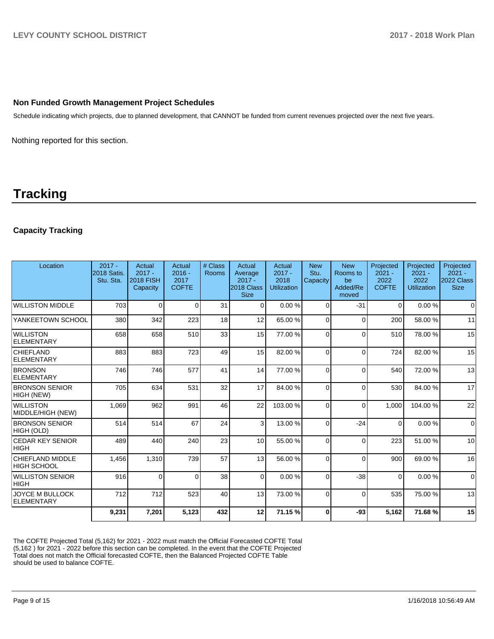### **Non Funded Growth Management Project Schedules**

Schedule indicating which projects, due to planned development, that CANNOT be funded from current revenues projected over the next five years.

Nothing reported for this section.

# **Tracking**

## **Capacity Tracking**

| Location                                      | $2017 -$<br>2018 Satis.<br>Stu. Sta. | Actual<br>$2017 -$<br><b>2018 FISH</b><br>Capacity | Actual<br>$2016 -$<br>2017<br><b>COFTE</b> | # Class<br>Rooms | Actual<br>Average<br>$2017 -$<br>2018 Class<br><b>Size</b> | Actual<br>$2017 -$<br>2018<br><b>Utilization</b> | <b>New</b><br>Stu.<br>Capacity | <b>New</b><br>Rooms to<br>be<br>Added/Re<br>moved | Projected<br>$2021 -$<br>2022<br><b>COFTE</b> | Projected<br>$2021 -$<br>2022<br><b>Utilization</b> | Projected<br>$2021 -$<br>2022 Class<br><b>Size</b> |
|-----------------------------------------------|--------------------------------------|----------------------------------------------------|--------------------------------------------|------------------|------------------------------------------------------------|--------------------------------------------------|--------------------------------|---------------------------------------------------|-----------------------------------------------|-----------------------------------------------------|----------------------------------------------------|
| <b>WILLISTON MIDDLE</b>                       | 703                                  | $\Omega$                                           | $\Omega$                                   | 31               | $\Omega$                                                   | 0.00%                                            | $\Omega$                       | $-31$                                             | $\Omega$                                      | 0.00%                                               | $\Omega$                                           |
| YANKEETOWN SCHOOL                             | 380                                  | 342                                                | 223                                        | 18               | 12                                                         | 65.00 %                                          | $\Omega$                       | $\Omega$                                          | 200                                           | 58.00 %                                             | 11                                                 |
| <b>WILLISTON</b><br><b>ELEMENTARY</b>         | 658                                  | 658                                                | 510                                        | 33               | 15                                                         | 77.00 %                                          | 0                              | $\Omega$                                          | 510                                           | 78.00 %                                             | 15                                                 |
| <b>CHIEFLAND</b><br><b>ELEMENTARY</b>         | 883                                  | 883                                                | 723                                        | 49               | 15                                                         | 82.00 %                                          | $\Omega$                       | $\Omega$                                          | 724                                           | 82.00 %                                             | 15                                                 |
| <b>BRONSON</b><br><b>ELEMENTARY</b>           | 746                                  | 746                                                | 577                                        | 41               | 14                                                         | 77.00 %                                          | $\Omega$                       | $\Omega$                                          | 540                                           | 72.00 %                                             | 13                                                 |
| <b>BRONSON SENIOR</b><br><b>HIGH (NEW)</b>    | 705                                  | 634                                                | 531                                        | 32               | 17                                                         | 84.00 %                                          | $\Omega$                       | $\Omega$                                          | 530                                           | 84.00 %                                             | 17                                                 |
| <b>WILLISTON</b><br>MIDDLE/HIGH (NEW)         | 1,069                                | 962                                                | 991                                        | 46               | 22                                                         | 103.00%                                          | $\Omega$                       | $\Omega$                                          | 1,000                                         | 104.00%                                             | 22                                                 |
| <b>BRONSON SENIOR</b><br>HIGH (OLD)           | 514                                  | 514                                                | 67                                         | 24               | 3 <sub>l</sub>                                             | 13.00 %                                          | $\Omega$                       | $-24$                                             | $\Omega$                                      | 0.00%                                               | $\Omega$                                           |
| <b>CEDAR KEY SENIOR</b><br><b>HIGH</b>        | 489                                  | 440                                                | 240                                        | 23               | 10 <sup>1</sup>                                            | 55.00 %                                          | $\Omega$                       | $\Omega$                                          | 223                                           | 51.00 %                                             | 10                                                 |
| <b>CHIEFLAND MIDDLE</b><br><b>HIGH SCHOOL</b> | 1,456                                | 1,310                                              | 739                                        | 57               | 13 <sup>1</sup>                                            | 56.00 %                                          | $\Omega$                       | $\Omega$                                          | 900                                           | 69.00 %                                             | 16                                                 |
| <b>WILLISTON SENIOR</b><br><b>HIGH</b>        | 916                                  | $\Omega$                                           | $\Omega$                                   | 38               | $\Omega$                                                   | 0.00%                                            | $\Omega$                       | $-38$                                             | $\Omega$                                      | 0.00%                                               | $\mathbf 0$                                        |
| <b>JOYCE M BULLOCK</b><br><b>ELEMENTARY</b>   | 712                                  | 712                                                | 523                                        | 40               | 13                                                         | 73.00 %                                          | $\Omega$                       | $\Omega$                                          | 535                                           | 75.00 %                                             | 13                                                 |
|                                               | 9,231                                | 7,201                                              | 5,123                                      | 432              | 12                                                         | 71.15%                                           | 0                              | $-93$                                             | 5,162                                         | 71.68%                                              | 15                                                 |

The COFTE Projected Total (5,162) for 2021 - 2022 must match the Official Forecasted COFTE Total (5,162 ) for 2021 - 2022 before this section can be completed. In the event that the COFTE Projected Total does not match the Official forecasted COFTE, then the Balanced Projected COFTE Table should be used to balance COFTE.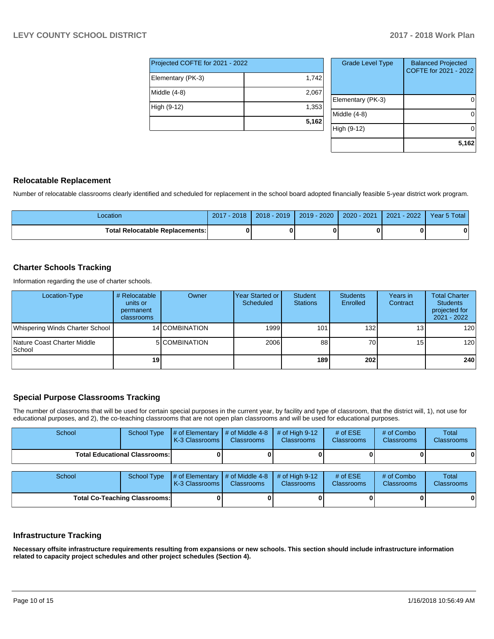| Projected COFTE for 2021 - 2022 |       |  |  |  |  |  |
|---------------------------------|-------|--|--|--|--|--|
| Elementary (PK-3)               | 1,742 |  |  |  |  |  |
| Middle (4-8)                    | 2,067 |  |  |  |  |  |
| High (9-12)                     | 1,353 |  |  |  |  |  |
|                                 | 5,162 |  |  |  |  |  |

| <b>Grade Level Type</b> | <b>Balanced Projected</b><br>COFTE for 2021 - 2022 |
|-------------------------|----------------------------------------------------|
| Elementary (PK-3)       |                                                    |
| Middle (4-8)            |                                                    |
| High (9-12)             |                                                    |
|                         | 5,162                                              |

### **Relocatable Replacement**

Number of relocatable classrooms clearly identified and scheduled for replacement in the school board adopted financially feasible 5-year district work program.

| _ocation                               | 2017 - 2018 | 2018 - 2019 | $2019 - 2020$ | 2020 - 2021 | $-2022$<br>2021 | Year 5 Total |
|----------------------------------------|-------------|-------------|---------------|-------------|-----------------|--------------|
| <b>Total Relocatable Replacements:</b> |             |             |               |             |                 |              |

### **Charter Schools Tracking**

Information regarding the use of charter schools.

| Location-Type                          | # Relocatable<br>units or<br>permanent<br>classrooms | Owner          | Year Started or I<br>Scheduled | <b>Student</b><br><b>Stations</b> | <b>Students</b><br>Enrolled | Years in<br>Contract | <b>Total Charter</b><br><b>Students</b><br>projected for<br>2021 - 2022 |
|----------------------------------------|------------------------------------------------------|----------------|--------------------------------|-----------------------------------|-----------------------------|----------------------|-------------------------------------------------------------------------|
| Whispering Winds Charter School        |                                                      | 14 COMBINATION | 1999                           | 101                               | 132                         | 13 <sub>1</sub>      | 120 <sup>1</sup>                                                        |
| Nature Coast Charter Middle<br> School |                                                      | 5 COMBINATION  | 2006                           | 88                                | 70I                         | 15 <sub>1</sub>      | 120 <sub>l</sub>                                                        |
|                                        | 19 <sup>1</sup>                                      |                |                                | 189                               | 202                         |                      | 240                                                                     |

### **Special Purpose Classrooms Tracking**

The number of classrooms that will be used for certain special purposes in the current year, by facility and type of classroom, that the district will, 1), not use for educational purposes, and 2), the co-teaching classrooms that are not open plan classrooms and will be used for educational purposes.

| School                               | <b>School Type</b>                   | # of Elementary<br>K-3 Classrooms | # of Middle 4-8<br><b>Classrooms</b> | # of High $9-12$<br><b>Classrooms</b> | # of $ESE$<br>Classrooms | # of Combo<br><b>Classrooms</b> | Total<br><b>Classrooms</b> |
|--------------------------------------|--------------------------------------|-----------------------------------|--------------------------------------|---------------------------------------|--------------------------|---------------------------------|----------------------------|
|                                      | <b>Total Educational Classrooms:</b> |                                   |                                      |                                       |                          |                                 | 0                          |
| School                               | <b>School Type</b>                   | # of Elementary<br>K-3 Classrooms | # of Middle 4-8<br><b>Classrooms</b> | # of High $9-12$<br><b>Classrooms</b> | # of $ESE$<br>Classrooms | # of Combo<br><b>Classrooms</b> | Total<br>Classrooms        |
| <b>Total Co-Teaching Classrooms:</b> |                                      |                                   |                                      | 01                                    |                          |                                 | 0                          |

#### **Infrastructure Tracking**

**Necessary offsite infrastructure requirements resulting from expansions or new schools. This section should include infrastructure information related to capacity project schedules and other project schedules (Section 4).**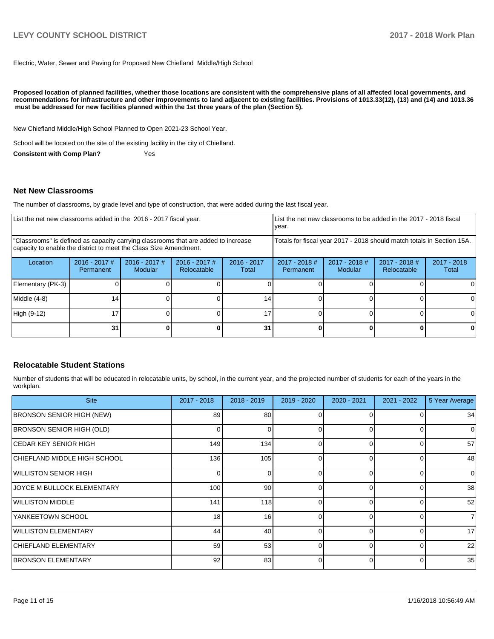# **LEVY COUNTY SCHOOL DISTRICT 2017 - 2018 Work Plan**

Electric, Water, Sewer and Paving for Proposed New Chiefland Middle/High School

**Proposed location of planned facilities, whether those locations are consistent with the comprehensive plans of all affected local governments, and recommendations for infrastructure and other improvements to land adjacent to existing facilities. Provisions of 1013.33(12), (13) and (14) and 1013.36** must be addressed for new facilities planned within the 1st three years of the plan (Section 5).

New Chiefland Middle/High School Planned to Open 2021-23 School Year.

School will be located on the site of the existing facility in the city of Chiefland.

**Consistent with Comp Plan?** Yes

#### **Net New Classrooms**

The number of classrooms, by grade level and type of construction, that were added during the last fiscal year.

| List the net new classrooms added in the 2016 - 2017 fiscal year.                                                                                       | List the net new classrooms to be added in the 2017 - 2018 fiscal<br>year. |                                   |                                                          |                 |                                                                        |                            |                                |                        |
|---------------------------------------------------------------------------------------------------------------------------------------------------------|----------------------------------------------------------------------------|-----------------------------------|----------------------------------------------------------|-----------------|------------------------------------------------------------------------|----------------------------|--------------------------------|------------------------|
| "Classrooms" is defined as capacity carrying classrooms that are added to increase<br>capacity to enable the district to meet the Class Size Amendment. |                                                                            |                                   |                                                          |                 | Totals for fiscal year 2017 - 2018 should match totals in Section 15A. |                            |                                |                        |
| Location                                                                                                                                                | $2016 - 2017$ #<br>Permanent                                               | $2016 - 2017$ #<br><b>Modular</b> | $2016 - 2017$ #<br>$2016 - 2017$<br>Relocatable<br>Total |                 | $2017 - 2018$ #<br>Permanent                                           | $2017 - 2018$ #<br>Modular | $2017 - 2018$ #<br>Relocatable | $2017 - 2018$<br>Total |
| Elementary (PK-3)                                                                                                                                       |                                                                            |                                   |                                                          |                 |                                                                        |                            |                                |                        |
| Middle (4-8)                                                                                                                                            | 14                                                                         |                                   |                                                          | 14 <sub>1</sub> |                                                                        |                            |                                | ΩI                     |
| High (9-12)                                                                                                                                             | 17                                                                         |                                   |                                                          | 17              |                                                                        |                            |                                | ΩI                     |
|                                                                                                                                                         | 31                                                                         |                                   |                                                          | 31              |                                                                        |                            | 0                              | 0                      |

### **Relocatable Student Stations**

Number of students that will be educated in relocatable units, by school, in the current year, and the projected number of students for each of the years in the workplan.

| <b>Site</b>                      | 2017 - 2018      | $2018 - 2019$ | $2019 - 2020$ | $2020 - 2021$ | $2021 - 2022$ | 5 Year Average |
|----------------------------------|------------------|---------------|---------------|---------------|---------------|----------------|
| <b>BRONSON SENIOR HIGH (NEW)</b> | 89               | 80            |               |               |               | 34             |
| <b>BRONSON SENIOR HIGH (OLD)</b> | 0                |               |               | $\Omega$      |               | 0              |
| ICEDAR KEY SENIOR HIGH           | 149              | 134           | 0             | $\Omega$      |               | 57             |
| CHIEFLAND MIDDLE HIGH SCHOOL     | 136              | 105           | 0             | $\Omega$      |               | 48             |
| WILLISTON SENIOR HIGH            | $\Omega$         | 0             | 0             | $\Omega$      |               | $\Omega$       |
| JOYCE M BULLOCK ELEMENTARY       | 100 <sup>1</sup> | 90            | 0             | $\Omega$      |               | 38             |
| <b>WILLISTON MIDDLE</b>          | 141              | 118           | <sup>0</sup>  | $\Omega$      |               | 52             |
| YANKEETOWN SCHOOL                | 18 <sup>1</sup>  | 16            | $\Omega$      | $\Omega$      | ∩             | $\overline{7}$ |
| <b>WILLISTON ELEMENTARY</b>      | 44               | 40            | 0             | $\Omega$      | $\Omega$      | 17             |
| <b>CHIEFLAND ELEMENTARY</b>      | 59               | 53            | $\Omega$      | $\Omega$      | O             | 22             |
| <b>BRONSON ELEMENTARY</b>        | 92 <sub>1</sub>  | 83            |               | 0             |               | 35             |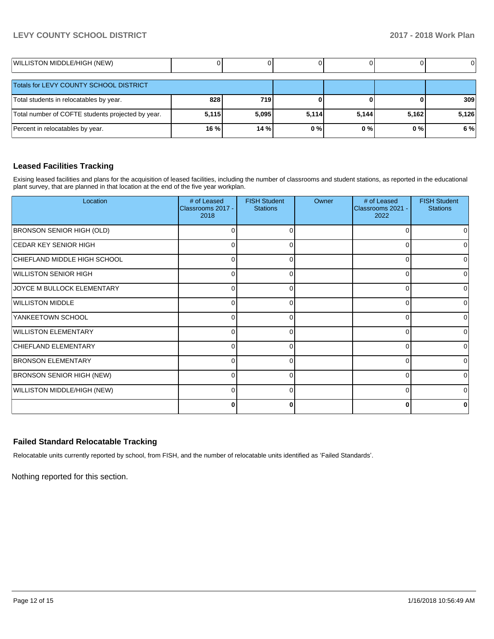## **LEVY COUNTY SCHOOL DISTRICT 2017 - 2018 Work Plan**

| WILLISTON MIDDLE/HIGH (NEW)                       |       |       |       |       |       |       |
|---------------------------------------------------|-------|-------|-------|-------|-------|-------|
| Totals for LEVY COUNTY SCHOOL DISTRICT            |       |       |       |       |       |       |
| Total students in relocatables by year.           | 828   | 719   |       |       |       | 309   |
| Total number of COFTE students projected by year. | 5,115 | 5,095 | 5,114 | 5,144 | 5,162 | 5,126 |
| Percent in relocatables by year.                  | 16 %  | 14 %  | 0%    | $0\%$ | 0%    | 6%    |

## **Leased Facilities Tracking**

Exising leased facilities and plans for the acquisition of leased facilities, including the number of classrooms and student stations, as reported in the educational plant survey, that are planned in that location at the end of the five year workplan.

| Location                         | # of Leased<br>Classrooms 2017 -<br>2018 | <b>FISH Student</b><br><b>Stations</b> | Owner | # of Leased<br>Classrooms 2021 -<br>2022 | <b>FISH Student</b><br><b>Stations</b> |
|----------------------------------|------------------------------------------|----------------------------------------|-------|------------------------------------------|----------------------------------------|
| <b>BRONSON SENIOR HIGH (OLD)</b> | 0                                        | 0                                      |       | O                                        | 0                                      |
| <b>CEDAR KEY SENIOR HIGH</b>     | n                                        | ∩                                      |       | C                                        | 0                                      |
| CHIEFLAND MIDDLE HIGH SCHOOL     | 0                                        | 0                                      |       | 0                                        | $\overline{0}$                         |
| <b>WILLISTON SENIOR HIGH</b>     | U                                        | ∩                                      |       | n                                        | 0                                      |
| JOYCE M BULLOCK ELEMENTARY       | 0                                        | 0                                      |       | 0                                        | $\overline{0}$                         |
| <b>WILLISTON MIDDLE</b>          | r                                        | ∩                                      |       | C                                        | 0                                      |
| YANKEETOWN SCHOOL                | 0                                        | 0                                      |       | $\Omega$                                 | $\overline{0}$                         |
| <b>WILLISTON ELEMENTARY</b>      | r                                        | ∩                                      |       | C                                        | 0                                      |
| CHIEFLAND ELEMENTARY             | 0                                        | $\Omega$                               |       | 0                                        | $\overline{0}$                         |
| <b>BRONSON ELEMENTARY</b>        | r                                        | $\Omega$                               |       | U                                        | 0                                      |
| <b>BRONSON SENIOR HIGH (NEW)</b> | $\Omega$                                 | $\Omega$                               |       | 0                                        | $\Omega$                               |
| WILLISTON MIDDLE/HIGH (NEW)      | O                                        | ∩                                      |       | U                                        | 0                                      |
|                                  | O                                        | 0                                      |       |                                          | 0                                      |

## **Failed Standard Relocatable Tracking**

Relocatable units currently reported by school, from FISH, and the number of relocatable units identified as 'Failed Standards'.

Nothing reported for this section.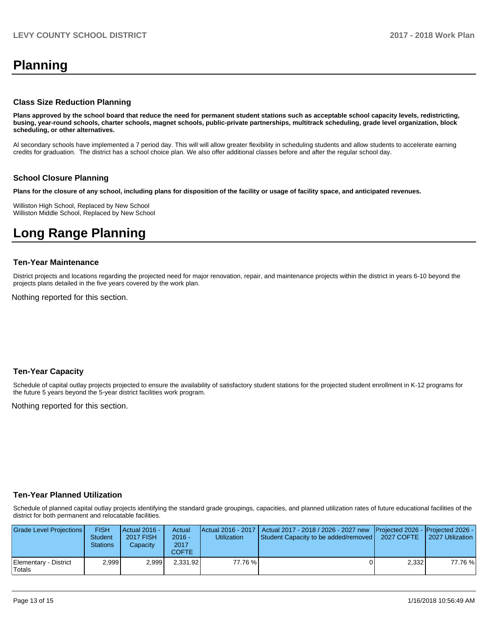# **Planning**

#### **Class Size Reduction Planning**

**Plans approved by the school board that reduce the need for permanent student stations such as acceptable school capacity levels, redistricting, busing, year-round schools, charter schools, magnet schools, public-private partnerships, multitrack scheduling, grade level organization, block scheduling, or other alternatives.**

Al secondary schools have implemented a 7 period day. This will will allow greater flexibility in scheduling students and allow students to accelerate earning credits for graduation. The district has a school choice plan. We also offer additional classes before and after the regular school day.

### **School Closure Planning**

**Plans for the closure of any school, including plans for disposition of the facility or usage of facility space, and anticipated revenues.** 

Williston High School, Replaced by New School Williston Middle School, Replaced by New School

# **Long Range Planning**

#### **Ten-Year Maintenance**

District projects and locations regarding the projected need for major renovation, repair, and maintenance projects within the district in years 6-10 beyond the projects plans detailed in the five years covered by the work plan.

Nothing reported for this section.

#### **Ten-Year Capacity**

Schedule of capital outlay projects projected to ensure the availability of satisfactory student stations for the projected student enrollment in K-12 programs for the future 5 years beyond the 5-year district facilities work program.

Nothing reported for this section.

#### **Ten-Year Planned Utilization**

Schedule of planned capital outlay projects identifying the standard grade groupings, capacities, and planned utilization rates of future educational facilities of the district for both permanent and relocatable facilities.

| Grade Level Projections         | <b>FISH</b><br><b>Student</b><br><b>Stations</b> | Actual 2016 -<br><b>2017 FISH</b><br>Capacitv | Actual<br>$2016 -$<br>2017<br>COFTE. | <b>Utilization</b> | Actual 2016 - 2017   Actual 2017 - 2018 / 2026 - 2027 new<br><b>Student Capacity to be added/removed  </b> | <b>Projected 2026 - Projected 2026 -</b><br>2027 COFTE | 2027 Utilization |
|---------------------------------|--------------------------------------------------|-----------------------------------------------|--------------------------------------|--------------------|------------------------------------------------------------------------------------------------------------|--------------------------------------------------------|------------------|
| Elementary - District<br>Totals | 2.999                                            | 2.999                                         | 2.331.92                             | 77.76 %            |                                                                                                            | 2.332                                                  | 77.76%           |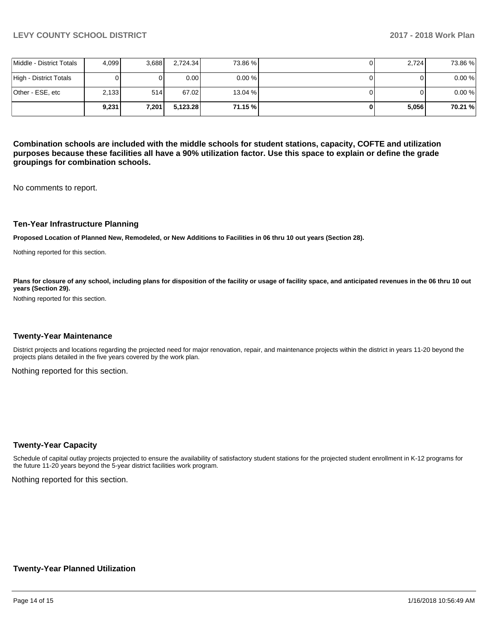|                          | 9.231 | 7,201 | 5,123.28          | 71.15 %   | 5,056 | 70.21 % |
|--------------------------|-------|-------|-------------------|-----------|-------|---------|
| Other - ESE, etc         | 2,133 | 514   | 67.02             | 13.04 %   |       | 0.00%   |
| High - District Totals   |       |       | 0.00 <sub>l</sub> | $0.00 \%$ |       | 0.00%   |
| Middle - District Totals | 4.099 | 3.688 | 2.724.34          | 73.86 %   | 2.724 | 73.86 % |

**Combination schools are included with the middle schools for student stations, capacity, COFTE and utilization purposes because these facilities all have a 90% utilization factor. Use this space to explain or define the grade groupings for combination schools.** 

No comments to report.

#### **Ten-Year Infrastructure Planning**

**Proposed Location of Planned New, Remodeled, or New Additions to Facilities in 06 thru 10 out years (Section 28).**

Nothing reported for this section.

Plans for closure of any school, including plans for disposition of the facility or usage of facility space, and anticipated revenues in the 06 thru 10 out **years (Section 29).**

Nothing reported for this section.

#### **Twenty-Year Maintenance**

District projects and locations regarding the projected need for major renovation, repair, and maintenance projects within the district in years 11-20 beyond the projects plans detailed in the five years covered by the work plan.

Nothing reported for this section.

#### **Twenty-Year Capacity**

Schedule of capital outlay projects projected to ensure the availability of satisfactory student stations for the projected student enrollment in K-12 programs for the future 11-20 years beyond the 5-year district facilities work program.

Nothing reported for this section.

#### **Twenty-Year Planned Utilization**